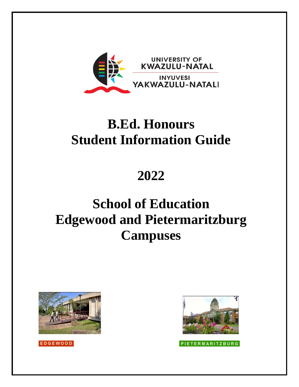

# **B.Ed. Honours Student Information Guide**

**2022**

# **School of Education Edgewood and Pietermaritzburg Campuses**





**PIETERMARITZBURG** 

EDGEWOOD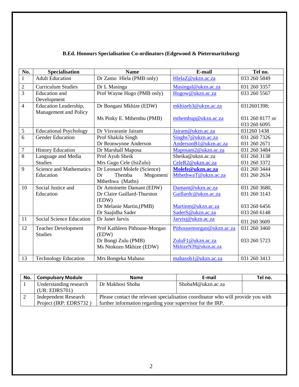| No.            | <b>Specialisation</b>                          | <b>Name</b>                                          | E-mail                                     | Tel no.                        |
|----------------|------------------------------------------------|------------------------------------------------------|--------------------------------------------|--------------------------------|
| $\mathbf{1}$   | <b>Adult Education</b>                         | Dr Zamo Hlela (PMB only)                             | HlelaZ@ukzn.ac.za                          | 033 260 5849                   |
| $\overline{2}$ | <b>Curriculum Studies</b>                      | Dr L Masinga                                         | Masingal@ukzn.ac.za                        | 031 260 3357                   |
| $\overline{3}$ | <b>Education</b> and<br>Development            | Prof Wayne Hugo (PMB only)                           | Hugow@ukzn.ac.za                           | 033 260 5567                   |
| $\overline{4}$ | Education Leadership,<br>Management and Policy | Dr Bongani Mkhize (EDW)<br>Ms Pinky E. Mthembu (PMB) | mkhizeb3@ukzn.ac.za<br>mthembup@ukzn.ac.za | 0312601398;<br>031 260 8177 or |
|                |                                                |                                                      |                                            | 033 260 6095                   |
| 5              | <b>Educational Psychology</b>                  | Dr Visvaranie Jairam                                 | Jairam@ukzn.ac.za                          | 031260 1438                    |
| 6              | <b>Gender Education</b>                        | Prof Shakila Singh                                   | Singhs7@ukzn.ac.za                         | 031 260 7326                   |
|                |                                                | Dr Bronwynne Anderson                                | AndersonB1@ukzn.ac.za                      | 031 260 2671                   |
| $\overline{7}$ | <b>History Education</b>                       | Dr Marshall Maposa                                   | Maposam2@ukzn.ac.za                        | 031 260 3484                   |
| $\overline{8}$ | Language and Media                             | Prof Ayub Sheik                                      | Sheika@ukzn.ac.za                          | 031 260 3138                   |
|                | <b>Studies</b>                                 | Mrs Gugu Cele (IsiZulu)                              | CeleR2@ukzn.ac.za                          | 031 260 3372                   |
| 9              | <b>Science and Mathematics</b>                 | Dr Leonard Molefe (Science)                          | Molefe@ukzn.ac.za                          | 031 260 3444                   |
|                | Education                                      | Dr<br>Themba<br>Mngomeni                             | MthethwaT@ukzn.ac.za                       | 031 260 2634                   |
|                |                                                | Mthethwa (Maths)                                     |                                            |                                |
| 10             | Social Justice and                             | Dr Antoinette Damant (EDW)                           | Damant@ukzn.ac.za                          | 031 260 3680,                  |
|                | Education                                      | Dr Claire Gaillard-Thurston                          | Gaillardc@ukzn.ac.za                       | 031 260 3143                   |
|                |                                                | (EDW)                                                |                                            |                                |
|                |                                                | Dr Melanie Martin, (PMB)                             | Martinm@ukzn.ac.za                         | 033 260 6456                   |
|                |                                                | Dr Saajidha Sader                                    | SaderS@ukzn.ac.za                          | 033 260 6148                   |
| 11             | Social Science Education                       | Dr Janet Jarvis                                      | Jarvisj@ukzn.ac.za                         | 031 260 3609                   |
| 12             | <b>Teacher Development</b>                     | Prof Kathleen Pithouse-Morgan                        | Pithousemorgan@ukzn.ac.za                  | 031 260 3460                   |
|                | <b>Studies</b>                                 | (EDW)                                                |                                            |                                |
|                |                                                | Dr Bongi Zulu (PMB)                                  | ZuluF1@ukzn.ac.za                          | 033 260 5723                   |
|                |                                                | Ms Ntokozo Mkhize (EDW)                              | MkhizeN39@ukzn.ac.za                       |                                |
| 13             | <b>Technology Education</b>                    | Mrs Bongeka Mabaso                                   | mabasob1@ukzn.ac.za                        | 031 260 3413                   |

# **B.Ed. Honours Specialisation Co-ordinators (Edgewood & Pietermaritzburg)**

| No. | <b>Compulsory Module</b>    | <b>Name</b>                                                                      | E-mail            | Tel no. |
|-----|-----------------------------|----------------------------------------------------------------------------------|-------------------|---------|
|     | Understanding research      | Dr Makhosi Shoba                                                                 | ShobaM@ukzn.ac.za |         |
|     | (UR: EDRS701)               |                                                                                  |                   |         |
|     | <b>Independent Research</b> | Please contact the relevant specialisation coordinator who will provide you with |                   |         |
|     | Project (IRP: EDRS732)      | further information regarding your supervisor for the IRP.                       |                   |         |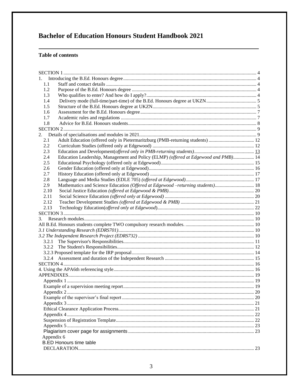# **Bachelor of Education Honours Student Handbook 2021**

# **Table of contents**

| 1.         |                                                                                     |  |  |  |  |
|------------|-------------------------------------------------------------------------------------|--|--|--|--|
| 1.1        |                                                                                     |  |  |  |  |
| 1.2        |                                                                                     |  |  |  |  |
| 1.3        |                                                                                     |  |  |  |  |
| 1.4        |                                                                                     |  |  |  |  |
| 1.5        |                                                                                     |  |  |  |  |
| 1.6        |                                                                                     |  |  |  |  |
| 1.7        |                                                                                     |  |  |  |  |
| 1.8        |                                                                                     |  |  |  |  |
|            |                                                                                     |  |  |  |  |
|            |                                                                                     |  |  |  |  |
| 2.1        | Adult Education (offered only in Pietermaritzburg (PMB-returning students)  12      |  |  |  |  |
| 2.2        |                                                                                     |  |  |  |  |
| 2.3        |                                                                                     |  |  |  |  |
| 2.4        | Education Leadership, Management and Policy (ELMP) (offered at Edgewood and PMB) 14 |  |  |  |  |
| 2.5        |                                                                                     |  |  |  |  |
| 2.6        |                                                                                     |  |  |  |  |
| 2.7        |                                                                                     |  |  |  |  |
| 2.8        |                                                                                     |  |  |  |  |
| 2.9        | Mathematics and Science Education (Offered at Edgewood –returning students) 18      |  |  |  |  |
| 2.10       |                                                                                     |  |  |  |  |
| 2.11       |                                                                                     |  |  |  |  |
| 2.12       |                                                                                     |  |  |  |  |
| 2.13       |                                                                                     |  |  |  |  |
|            |                                                                                     |  |  |  |  |
| 3.         |                                                                                     |  |  |  |  |
|            |                                                                                     |  |  |  |  |
|            |                                                                                     |  |  |  |  |
|            |                                                                                     |  |  |  |  |
| 3.2.1      |                                                                                     |  |  |  |  |
| 3.2.2      |                                                                                     |  |  |  |  |
|            |                                                                                     |  |  |  |  |
|            |                                                                                     |  |  |  |  |
|            |                                                                                     |  |  |  |  |
|            |                                                                                     |  |  |  |  |
|            |                                                                                     |  |  |  |  |
|            |                                                                                     |  |  |  |  |
|            |                                                                                     |  |  |  |  |
|            |                                                                                     |  |  |  |  |
|            |                                                                                     |  |  |  |  |
|            |                                                                                     |  |  |  |  |
|            |                                                                                     |  |  |  |  |
|            |                                                                                     |  |  |  |  |
|            |                                                                                     |  |  |  |  |
|            |                                                                                     |  |  |  |  |
|            |                                                                                     |  |  |  |  |
| Appendix 6 | <b>B.ED Honours time table</b>                                                      |  |  |  |  |
|            |                                                                                     |  |  |  |  |
|            |                                                                                     |  |  |  |  |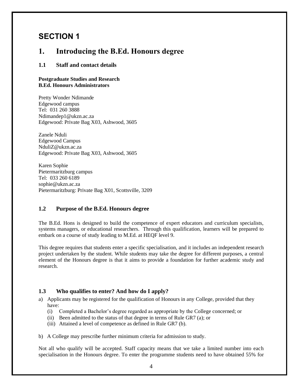# <span id="page-3-0"></span>**SECTION 1**

# <span id="page-3-1"></span>**1. Introducing the B.Ed. Honours degree**

### <span id="page-3-2"></span>**1.1 Staff and contact details**

#### **Postgraduate Studies and Research B.Ed. Honours Administrators**

Pretty Wonder Ndimande Edgewood campus Tel: 031 260 3888 Ndimandep1@ukzn.ac.za Edgewood: Private Bag X03, Ashwood, 3605

Zanele Nduli Edgewood Campus NduliZ@ukzn.ac.za Edgewood: Private Bag X03, Ashwood, 3605

Karen Sophie Pietermaritzburg campus Tel: 033 260 6189 sophie@ukzn.ac.za Pietermaritzburg: Private Bag X01, Scottsville, 3209

#### <span id="page-3-3"></span>**1.2 Purpose of the B.Ed. Honours degree**

The B.Ed. Hons is designed to build the competence of expert educators and curriculum specialists, systems managers, or educational researchers. Through this qualification, learners will be prepared to embark on a course of study leading to M.Ed. at HEQF level 9.

This degree requires that students enter a specific specialisation, and it includes an independent research project undertaken by the student. While students may take the degree for different purposes, a central element of the Honours degree is that it aims to provide a foundation for further academic study and research.

## <span id="page-3-4"></span>**1.3 Who qualifies to enter? And how do I apply?**

- a) Applicants may be registered for the qualification of Honours in any College, provided that they have:
	- (i) Completed a Bachelor's degree regarded as appropriate by the College concerned; or
	- (ii) Been admitted to the status of that degree in terms of Rule GR7 (a); or
	- (iii) Attained a level of competence as defined in Rule GR7 (b).

b) A College may prescribe further minimum criteria for admission to study.

Not all who qualify will be accepted. Staff capacity means that we take a limited number into each specialisation in the Honours degree. To enter the programme students need to have obtained 55% for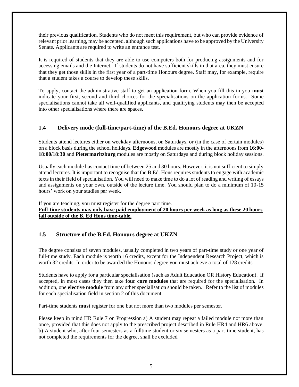their previous qualification. Students who do not meet this requirement, but who can provide evidence of relevant prior learning, may be accepted, although such applications have to be approved by the University Senate. Applicants are required to write an entrance test.

It is required of students that they are able to use computers both for producing assignments and for accessing emails and the Internet. If students do not have sufficient skills in that area, they must ensure that they get those skills in the first year of a part-time Honours degree. Staff may, for example, require that a student takes a course to develop these skills.

To apply, contact the administrative staff to get an application form. When you fill this in you **must** indicate your first, second and third choices for the specialisations on the application forms. Some specialisations cannot take all well-qualified applicants, and qualifying students may then be accepted into other specialisations where there are spaces.

## <span id="page-4-0"></span>**1.4 Delivery mode (full-time/part-time) of the B.Ed. Honours degree at UKZN**

Students attend lectures either on weekday afternoons, on Saturdays, or (in the case of certain modules) on a block basis during the school holidays. **Edgewood** modules are mostly in the afternoons from **16:00- 18:00/18:30** and **Pietermaritzburg** modules are mostly on Saturdays and during block holiday sessions.

Usually each module has contact time of between 25 and 30 hours. However, it is not sufficient to simply attend lectures. It is important to recognise that the B.Ed. Hons requires students to engage with academic texts in their field of specialisation. You will need to make time to do a lot of reading and writing of essays and assignments on your own, outside of the lecture time. You should plan to do a minimum of 10-15 hours' work on your studies per week.

If you are teaching, you must register for the degree part time. **Full-time students may only have paid employment of 20 hours per week as long as these 20 hours fall outside of the B. Ed Hons time-table.**

## <span id="page-4-1"></span>**1.5 Structure of the B.Ed. Honours degree at UKZN**

The degree consists of seven modules, usually completed in two years of part-time study or one year of full-time study. Each module is worth 16 credits, except for the Independent Research Project, which is worth 32 credits. In order to be awarded the Honours degree you must achieve a total of 128 credits.

Students have to apply for a particular specialisation (such as Adult Education OR History Education). If accepted, in most cases they then take **four core modules** that are required for the specialisation. In addition, one **elective module** from any other specialisation should be taken. Refer to the list of modules for each specialisation field in section 2 of this document.

Part-time students **must** register for one but not more than two modules per semester.

Please keep in mind HR Rule 7 on Progression a) A student may repeat a failed module not more than once, provided that this does not apply to the prescribed project described in Rule HR4 and HR6 above. b) A student who, after four semesters as a fulltime student or six semesters as a part-time student, has not completed the requirements for the degree, shall be excluded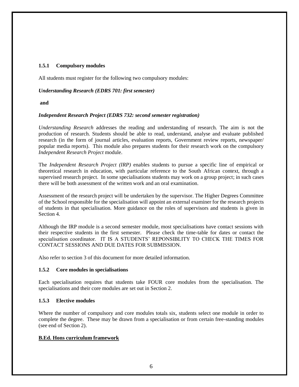#### **1.5.1 Compulsory modules**

All students must register for the following two compulsory modules:

#### *Understanding Research (EDRS 701: first semester)*

#### **and**

#### *Independent Research Project (EDRS 732: second semester registration)*

*Understanding Research* addresses the reading and understanding of research. The aim is not the production of research. Students should be able to read, understand, analyse and evaluate published research (in the form of journal articles, evaluation reports, Government review reports, newspaper/ popular media reports). This module also prepares students for their research work on the compulsory *Independent Research Project* module.

The *Independent Research Project (IRP)* enables students to pursue a specific line of empirical or theoretical research in education, with particular reference to the South African context, through a supervised research project. In some specialisations students may work on a group project; in such cases there will be both assessment of the written work and an oral examination.

Assessment of the research project will be undertaken by the supervisor. The Higher Degrees Committee of the School responsible for the specialisation will appoint an external examiner for the research projects of students in that specialisation. More guidance on the roles of supervisors and students is given in Section 4.

Although the IRP module is a second semester module, most specialisations have contact sessions with their respective students in the first semester. Please check the time-table for dates or contact the specialisation coordinator. IT IS A STUDENTS' REPONSIBLITY TO CHECK THE TIMES FOR CONTACT SESSIONS AND DUE DATES FOR SUBMISSION.

Also refer to section 3 of this document for more detailed information.

#### **1.5.2 Core modules in specialisations**

Each specialisation requires that students take FOUR core modules from the specialisation. The specialisations and their core modules are set out in Section 2.

#### **1.5.3 Elective modules**

Where the number of compulsory and core modules totals six, students select one module in order to complete the degree. These may be drawn from a specialisation or from certain free-standing modules (see end of Section 2).

#### **B.Ed. Hons curriculum framework**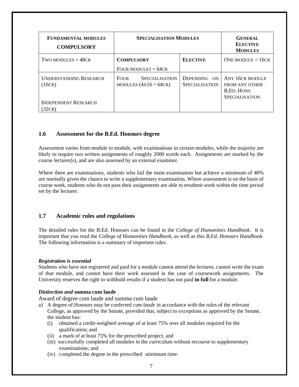| <b>FUNDAMENTAL MODULES</b><br><b>COMPULSORY</b> | <b>SPECIALISATION MODULES</b>                            |                                       | <b>GENERAL</b><br><b>ELECTIVE</b><br><b>MODULES</b>                                    |
|-------------------------------------------------|----------------------------------------------------------|---------------------------------------|----------------------------------------------------------------------------------------|
| TWO MODULES $=$ 48CR                            | <b>COMPULSORY</b><br>FOUR MODULES $= 64CR$               | <b>ELECTIVE</b>                       | ONE MODULE = $16CR$                                                                    |
| <b>UNDERSTANDING RESEARCH</b><br>(16CR)         | <b>SPECIALISATION</b><br>FOUR<br>MODULES $(4x16 = 64CR)$ | DEPENDING ON<br><b>SPECIALISATION</b> | ANY 16CR MODULE<br><b>FROM ANY OTHER</b><br><b>B.ED. HONS</b><br><b>SPECIALISATION</b> |
| <b>INDEPENDENT RESEARCH</b><br>32CR             |                                                          |                                       |                                                                                        |

### <span id="page-6-0"></span>**1.6 Assessment for the B.Ed. Honours degree**

Assessment varies from module to module, with examinations in certain modules, while the majority are likely to require two written assignments of roughly 2000 words each. Assignments are marked by the course lecturer(s), and are also assessed by an external examiner.

Where there are examinations, students who fail the main examination but achieve a minimum of 40% are normally given the chance to write a supplementary examination. Where assessment is on the basis of course work, students who do not pass their assignments are able to resubmit work within the time period set by the lecturer.

#### <span id="page-6-1"></span>**1.7 Academic rules and regulations**

The detailed rules for the B.Ed. Honours can be found in the *College of Humanities Handbook*. It is important that you read the *College of Humanities Handbook*, as well as this *B.Ed. Honours Handbook.* The following information is a summary of important rules.

#### *Registration is essential*

Students who have not registered and paid for a module cannot attend the lectures, cannot write the exam of that module, and cannot have their work assessed in the case of coursework assignments. The University reserves the right to withhold results if a student has not paid **in full** for a module.

#### *Distinction and* **summa cum laude**

Award of degree cum laude and summa cum laude

- a) A degree of Honours may be conferred *cum laude* in accordance with the rules of the relevant College, as approved by the Senate, provided that, subject to exceptions as approved by the Senate, the student has:
	- (i) obtained a credit-weighted average of at least 75% over all modules required for the qualification; and
	- (ii) a mark of at least 75% for the prescribed project; and
	- (iii) successfully completed all modules in the curriculum without recourse to supplementary examinations; and
	- (iv) completed the degree in the prescribed minimum time.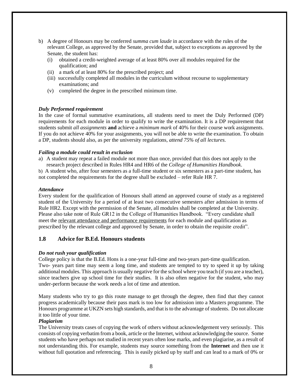- b) A degree of Honours may be conferred *summa cum laude* in accordance with the rules of the relevant College, as approved by the Senate, provided that, subject to exceptions as approved by the Senate, the student has:
	- (i) obtained a credit-weighted average of at least 80% over all modules required for the qualification; and
	- (ii) a mark of at least 80% for the prescribed project; and
	- (iii) successfully completed all modules in the curriculum without recourse to supplementary examinations; and
	- (v) completed the degree in the prescribed minimum time.

#### *Duly Performed requirement*

In the case of formal summative examinations, all students need to meet the Duly Performed (DP) requirements for each module in order to qualify to write the examination. It is a DP requirement that students submit *all assignments* **and** achieve a *minimum mark* of 40% for their course work assignments. If you do not achieve 40% for your assignments, you will not be able to write the examination. To obtain a DP, students should also, as per the university regulations*, attend 75% of all lectures.*

#### *Failing a module could result in exclusion*

a) A student may repeat a failed module not more than once, provided that this does not apply to the research project described in Rules HR4 and HR6 of the *College of Humanities Handbook.*

b) A student who, after four semesters as a full-time student or six semesters as a part-time student, has not completed the requirements for the degree shall be excluded – refer Rule HR 7.

#### *Attendance*

Every student for the qualification of Honours shall attend an approved course of study as a registered student of the University for a period of at least two consecutive semesters after admission in terms of Rule HR2. Except with the permission of the Senate, all modules shall be completed at the University. Please also take note of Rule GR12 in the College of Humanities Handbook. "Every candidate shall meet the relevant attendance and performance requirements for each module and qualification as prescribed by the relevant college and approved by Senate, in order to obtain the requisite credit".

#### <span id="page-7-0"></span>**1.8 Advice for B.Ed. Honours students**

#### *Do not rush your qualification*

College policy is that the B.Ed. Hons is a one-year full-time and two-years part-time qualification. Two- years part time may seem a long time, and students are tempted to try to speed it up by taking additional modules. This approach is usually negative for the school where you teach (if you are a teacher), since teachers give up school time for their studies. It is also often negative for the student, who may under-perform because the work needs a lot of time and attention.

Many students who try to go this route manage to get through the degree, then find that they cannot progress academically because their pass mark is too low for admission into a Masters programme. The Honours programme at UKZN sets high standards, and that is to the advantage of students. Do not allocate it too little of your time.

#### *Plagiarism*

The University treats cases of copying the work of others without acknowledgement very seriously. This consists of copying verbatim from a book, article or the Internet, without acknowledging the source. Some students who have perhaps not studied in recent years often lose marks, and even plagiarise, as a result of not understanding this. For example, students may source something from the **Internet** and then use it without full quotation and referencing. This is easily picked up by staff and can lead to a mark of 0% or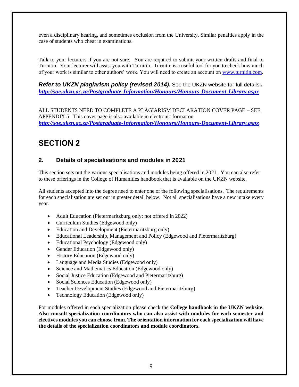even a disciplinary hearing, and sometimes exclusion from the University. Similar penalties apply in the case of students who cheat in examinations.

Talk to your lecturers if you are not sure. You are required to submit your written drafts and final to Turnitin. Your lecturer will assist you with Turnitin. Turnitin is a useful tool for you to check how much of your work is similar to other authors' work. You will need to create an account on [www.turnitin.com.](http://www.turnitin.com/)

*Refer to UKZN plagiarism policy (revised 2014).* See the UKZN website for full details:*. <http://soe.ukzn.ac.za/Postgraduate-Information/Honours/Honours-Document-Library.aspx>*

ALL STUDENTS NEED TO COMPLETE A PLAGIARISM DECLARATION COVER PAGE – SEE APPENDIX 5. This cover page is also available in electronic format on *<http://soe.ukzn.ac.za/Postgraduate-Information/Honours/Honours-Document-Library.aspx>*

# <span id="page-8-0"></span>**SECTION 2**

# <span id="page-8-1"></span>**2. Details of specialisations and modules in 2021**

This section sets out the various specialisations and modules being offered in 2021. You can also refer to these offerings in the College of Humanities handbook that is available on the UKZN website.

All students accepted into the degree need to enter one of the following specialisations. The requirements for each specialisation are set out in greater detail below. Not all specialisations have a new intake every year.

- Adult Education (Pietermaritzburg only: not offered in 2022)
- Curriculum Studies (Edgewood only)
- Education and Development (Pietermaritzburg only)
- Educational Leadership, Management and Policy (Edgewood and Pietermaritzburg)
- Educational Psychology (Edgewood only)
- Gender Education (Edgewood only)
- History Education (Edgewood only)
- Language and Media Studies (Edgewood only)
- Science and Mathematics Education (Edgewood only)
- Social Justice Education (Edgewood and Pietermaritzburg)
- Social Sciences Education (Edgewood only)
- Teacher Development Studies (Edgewood and Pietermaritzburg)
- Technology Education (Edgewood only)

For modules offered in each specialization please check the **College handbook in the UKZN website. Also consult specialization coordinators who can also assist with modules for each semester and electives modules you can choose from. The orientation information for each specialization will have the details of the specialization coordinators and module coordinators.**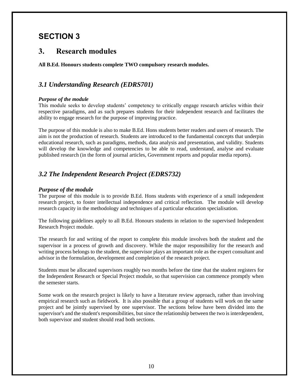# <span id="page-9-0"></span>**SECTION 3**

# <span id="page-9-1"></span>**3. Research modules**

<span id="page-9-2"></span>**All B.Ed. Honours students complete TWO compulsory research modules.** 

# <span id="page-9-3"></span>*3.1 Understanding Research (EDRS701)*

#### *Purpose of the module*

This module seeks to develop students' competency to critically engage research articles within their respective paradigms, and as such prepares students for their independent research and facilitates the ability to engage research for the purpose of improving practice.

The purpose of this module is also to make B.Ed. Hons students better readers and users of research. The aim is not the production of research. Students are introduced to the fundamental concepts that underpin educational research, such as paradigms, methods, data analysis and presentation, and validity. Students will develop the knowledge and competencies to be able to read, understand, analyse and evaluate published research (in the form of journal articles, Government reports and popular media reports).

# <span id="page-9-4"></span>*3.2 The Independent Research Project (EDRS732)*

#### *Purpose of the module*

The purpose of this module is to provide B.Ed. Hons students with experience of a small independent research project, to foster intellectual independence and critical reflection. The module will develop research capacity in the methodology and techniques of a particular education specialisation.

The following guidelines apply to all B.Ed. Honours students in relation to the supervised Independent Research Project module.

The research for and writing of the report to complete this module involves both the student and the supervisor in a process of growth and discovery. While the major responsibility for the research and writing process belongs to the student, the supervisor plays an important role as the expert consultant and advisor in the formulation, development and completion of the research project.

Students must be allocated supervisors roughly two months before the time that the student registers for the Independent Research or Special Project module, so that supervision can commence promptly when the semester starts.

Some work on the research project is likely to have a literature review approach, rather than involving empirical research such as fieldwork. It is also possible that a group of students will work on the same project and be jointly supervised by one supervisor. The sections below have been divided into the supervisor's and the student's responsibilities, but since the relationship between the two is interdependent, both supervisor and student should read both sections.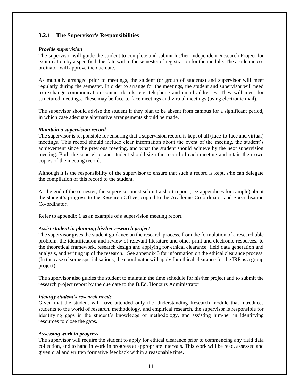### <span id="page-10-0"></span>**3.2.1 The Supervisor's Responsibilities**

#### *Provide supervision*

The supervisor will guide the student to complete and submit his/her Independent Research Project for examination by a specified due date within the semester of registration for the module. The academic coordinator will approve the due date.

As mutually arranged prior to meetings, the student (or group of students) and supervisor will meet regularly during the semester. In order to arrange for the meetings, the student and supervisor will need to exchange communication contact details, e.g. telephone and email addresses. They will meet for structured meetings. These may be face-to-face meetings and virtual meetings (using electronic mail).

The supervisor should advise the student if they plan to be absent from campus for a significant period, in which case adequate alternative arrangements should be made.

#### *Maintain a supervision record*

The supervisor is responsible for ensuring that a supervision record is kept of all (face-to-face and virtual) meetings. This record should include clear information about the event of the meeting, the student's achievement since the previous meeting, and what the student should achieve by the next supervision meeting. Both the supervisor and student should sign the record of each meeting and retain their own copies of the meeting record.

Although it is the responsibility of the supervisor to ensure that such a record is kept, s/he can delegate the compilation of this record to the student.

At the end of the semester, the supervisor must submit a short report (see appendices for sample) about the student's progress to the Research Office, copied to the Academic Co-ordinator and Specialisation Co-ordinator.

Refer to appendix 1 as an example of a supervision meeting report.

#### *Assist student in planning his/her research project*

The supervisor gives the student guidance on the research process, from the formulation of a researchable problem, the identification and review of relevant literature and other print and electronic resources, to the theoretical framework, research design and applying for ethical clearance, field data generation and analysis, and writing up of the research. See appendix 3 for information on the ethical clearance process. (In the case of some specialisations, the coordinator will apply for ethical clearance for the IRP as a group project).

The supervisor also guides the student to maintain the time schedule for his/her project and to submit the research project report by the due date to the B.Ed. Honours Administrator.

#### *Identify student's research needs*

Given that the student will have attended only the Understanding Research module that introduces students to the world of research, methodology, and empirical research, the supervisor is responsible for identifying gaps in the student's knowledge of methodology, and assisting him/her in identifying resources to close the gaps.

#### *Assessing work in progress*

The supervisor will require the student to apply for ethical clearance prior to commencing any field data collection, and to hand in work in progress at appropriate intervals. This work will be read, assessed and given oral and written formative feedback within a reasonable time.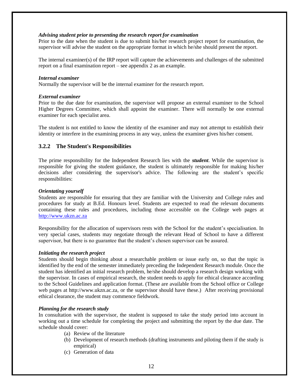#### *Advising student prior to presenting the research report for examination*

Prior to the date when the student is due to submit his/her research project report for examination, the supervisor will advise the student on the appropriate format in which he/she should present the report.

The internal examiner(s) of the IRP report will capture the achievements and challenges of the submitted report on a final examination report – see appendix 2 as an example.

#### *Internal examiner*

Normally the supervisor will be the internal examiner for the research report.

#### *External examiner*

Prior to the due date for examination, the supervisor will propose an external examiner to the School Higher Degrees Committee, which shall appoint the examiner. There will normally be one external examiner for each specialist area.

The student is not entitled to know the identity of the examiner and may not attempt to establish their identity or interfere in the examining process in any way, unless the examiner gives his/her consent.

#### <span id="page-11-0"></span>**3.2.2 The Student's Responsibilities**

The prime responsibility for the Independent Research lies with the *student*. While the supervisor is responsible for giving the student guidance, the student is ultimately responsible for making his/her decisions after considering the supervisor's advice. The following are the student's specific responsibilities:

#### *Orientating yourself*

Students are responsible for ensuring that they are familiar with the University and College rules and procedures for study at B.Ed. Honours level. Students are expected to read the relevant documents containing these rules and procedures, including those accessible on the College web pages at [http://www.ukzn.ac.za](http://www.ukzn.ac.za/)

Responsibility for the allocation of supervisors rests with the School for the student's specialisation. In very special cases, students may negotiate through the relevant Head of School to have a different supervisor, but there is no guarantee that the student's chosen supervisor can be assured.

#### *Initiating the research project*

Students should begin thinking about a researchable problem or issue early on, so that the topic is identified by the end of the semester immediately preceding the Independent Research module. Once the student has identified an initial research problem, he/she should develop a research design working with the supervisor. In cases of empirical research, the student needs to apply for ethical clearance according to the School Guidelines and application format. (These are available from the School office or College web pages at http://www.ukzn.ac.za, or the supervisor should have these.) After receiving provisional ethical clearance, the student may commence fieldwork.

#### *Planning for the research study*

In consultation with the supervisor, the student is supposed to take the study period into account in working out a time schedule for completing the project and submitting the report by the due date. The schedule should cover:

- (a) Review of the literature
- (b) Development of research methods (drafting instruments and piloting them if the study is empirical)
- (c) Generation of data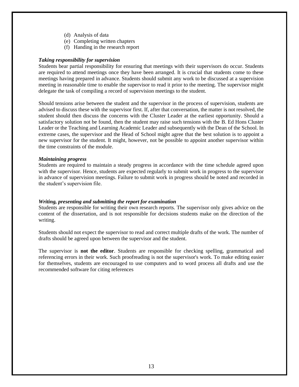- (d) Analysis of data
- (e) Completing written chapters
- (f) Handing in the research report

#### *Taking responsibility for supervision*

Students bear partial responsibility for ensuring that meetings with their supervisors do occur. Students are required to attend meetings once they have been arranged. It is crucial that students come to these meetings having prepared in advance. Students should submit any work to be discussed at a supervision meeting in reasonable time to enable the supervisor to read it prior to the meeting. The supervisor might delegate the task of compiling a record of supervision meetings to the student.

Should tensions arise between the student and the supervisor in the process of supervision, students are advised to discuss these with the supervisor first. If, after that conversation, the matter is not resolved, the student should then discuss the concerns with the Cluster Leader at the earliest opportunity. Should a satisfactory solution not be found, then the student may raise such tensions with the B. Ed Hons Cluster Leader or the Teaching and Learning Academic Leader and subsequently with the Dean of the School. In extreme cases, the supervisor and the Head of School might agree that the best solution is to appoint a new supervisor for the student. It might, however, not be possible to appoint another supervisor within the time constraints of the module.

#### *Maintaining progress*

Students are required to maintain a steady progress in accordance with the time schedule agreed upon with the supervisor. Hence, students are expected regularly to submit work in progress to the supervisor in advance of supervision meetings. Failure to submit work in progress should be noted and recorded in the student's supervision file.

#### *Writing, presenting and submitting the report for examination*

Students are responsible for writing their own research reports. The supervisor only gives advice on the content of the dissertation, and is not responsible for decisions students make on the direction of the writing.

Students should not expect the supervisor to read and correct multiple drafts of the work. The number of drafts should be agreed upon between the supervisor and the student.

The supervisor is **not the editor**. Students are responsible for checking spelling, grammatical and referencing errors in their work. Such proofreading is not the supervisor's work. To make editing easier for themselves, students are encouraged to use computers and to word process all drafts and use the recommended software for citing references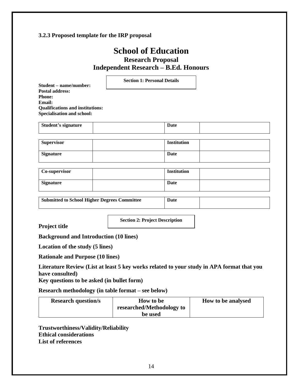## <span id="page-13-0"></span>**3.2.3 Proposed template for the IRP proposal**

# **School of Education Research Proposal Independent Research – B.Ed. Honours**

**Section 1: Personal Details**

**Student – name/number: Postal address: Phone: Email: Qualifications and institutions: Specialisation and school:**

| <b>Student's signature</b> | Date |  |
|----------------------------|------|--|
|                            |      |  |

| <b>Supervisor</b> | <b>Institution</b> |  |
|-------------------|--------------------|--|
| <b>Signature</b>  | Date               |  |

| Co-supervisor | <b>Institution</b> |  |
|---------------|--------------------|--|
| Signature     | Date               |  |

**Submitted to School Higher Degrees Committee Date** 

**Section 2: Project Description**

**Project title**

**Background and Introduction (10 lines)**

**Location of the study (5 lines)**

**Rationale and Purpose (10 lines)**

**Literature Review (List at least 5 key works related to your study in APA format that you have consulted)**

**Key questions to be asked (in bullet form)**

**Research methodology (in table format – see below)**

| <b>Research question/s</b> | <b>How to be</b>          | How to be analysed |
|----------------------------|---------------------------|--------------------|
|                            | researched/Methodology to |                    |
|                            | be used                   |                    |

**Trustworthiness/Validity/Reliability Ethical considerations List of references**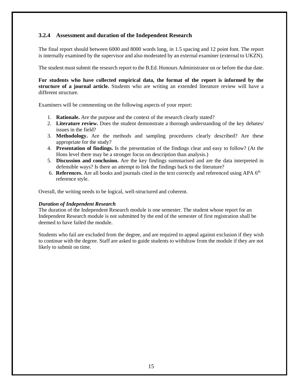### <span id="page-14-0"></span>**3.2.4 Assessment and duration of the Independent Research**

The final report should between 6000 and 8000 words long, in 1.5 spacing and 12 point font. The report is internally examined by the supervisor and also moderated by an external examiner (external to UKZN).

The student must submit the research report to the B.Ed. Honours Administrator on or before the due date.

**For students who have collected empirical data, the format of the report is informed by the structure of a journal article.** Students who are writing an extended literature review will have a different structure.

Examiners will be commenting on the following aspects of your report:

- 1. **Rationale.** Are the purpose and the context of the research clearly stated?
- 2. **Literature review.** Does the student demonstrate a thorough understanding of the key debates/ issues in the field?
- 3. **Methodology.** Are the methods and sampling procedures clearly described? Are these appropriate for the study?
- 4. **Presentation of findings.** Is the presentation of the findings clear and easy to follow? (At the Hons level there may be a stronger focus on description than analysis.)
- 5. **Discussion and conclusion.** Are the key findings summarised and are the data interpreted in defensible ways? Is there an attempt to link the findings back to the literature?
- 6. **References.** Are all books and journals cited in the text correctly and referenced using APA 6th reference style.

Overall, the writing needs to be logical, well-structured and coherent.

#### *Duration of Independent Research*

The duration of the Independent Research module is one semester. The student whose report for an Independent Research module is not submitted by the end of the semester of first registration shall be deemed to have failed the module.

Students who fail are excluded from the degree, and are required to appeal against exclusion if they wish to continue with the degree. Staff are asked to guide students to withdraw from the module if they are not likely to submit on time.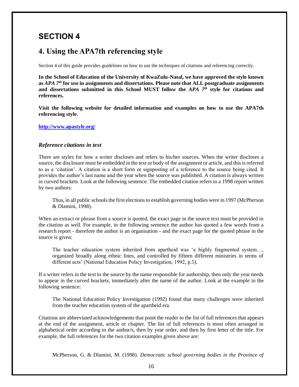# <span id="page-15-0"></span>**SECTION 4**

# <span id="page-15-1"></span>**4. Using the APA7th referencing style**

Section 4 of this guide provides guidelines on how to use the techniques of citations and referencing correctly.

**In the School of Education of the University of KwaZulu-Natal, we have approved the style known as** *APA 7th* **for use in assignments and dissertations. Please note that ALL postgraduate assignments and dissertations submitted in this School MUST follow the** *APA 7th* **style for citations and references.** 

**Visit the following website for detailed information and examples on how to use the APA7th referencing style.**

**<http://www.apastyle.org/>**

#### *Reference citations in text*

There are styles for how a writer discloses and refers to his/her sources. When the writer discloses a source, the disclosure must be embedded in the text or body of the assignment or article, and this is referred to as a 'citation'. A citation is a short form or signposting of a reference to the source being cited. It provides the author's last name and the year when the source was published. A citation is always written in curved brackets. Look at the following sentence. The embedded citation refers to a 1998 report written by two authors:

Thus, in all public schools the first elections to establish governing bodies were in 1997 (McPherson & Dlamini, 1998).

When an extract or phrase from a source is quoted, the exact page in the source text must be provided in the citation as well. For example, in the following sentence the author has quoted a few words from a research report - therefore the author is an organisation - and the exact page for the quoted phrase in the source is given:

The teacher education system inherited from apartheid was 'a highly fragmented system…, organized broadly along ethnic lines, and controlled by fifteen different ministries in terms of different acts' (National Education Policy Investigation, 1992, p.5).

If a writer refers in the text to the source by the name responsible for authorship, then only the year needs to appear in the curved brackets, immediately after the name of the author. Look at the example in the following sentence:

The National Education Policy Investigation (1992) found that many challenges were inherited from the teacher education system of the apartheid era.

Citations are abbreviated acknowledgements that point the reader to the list of full references that appears at the end of the assignment, article or chapter. The list of full references is most often arranged in alphabetical order according to the author/s, then by year order, and then by first letter of the title. For example, the full references for the two citation examples given above are:

McPherson, G. & Dlamini, M. (1998). *Democratic school governing bodies in the Province of*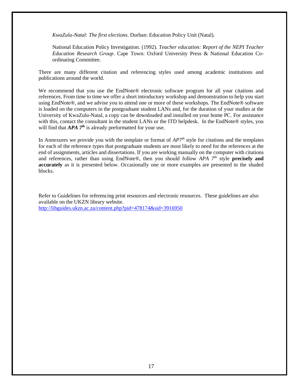*KwaZulu-Natal: The first elections*. Durban: Education Policy Unit (Natal).

National Education Policy Investigation. (1992). *Teacher education: Report of the NEPI Teacher Education Research Group*. Cape Town: Oxford University Press & National Education Coordinating Committee.

There are many different citation and referencing styles used among academic institutions and publications around the world.

We recommend that you use the EndNote® electronic software program for all your citations and references. From time to time we offer a short introductory workshop and demonstration to help you start using EndNote®, and we advise you to attend one or more of these workshops. The EndNote® software is loaded on the computers in the postgraduate student LANs and, for the duration of your studies at the University of KwaZulu-Natal, a copy can be downloaded and installed on your home PC. For assistance with this, contact the consultant in the student LANs or the ITD helpdesk. In the EndNote® styles, you will find that *APA* 7<sup>*th*</sup> is already preformatted for your use.

In Annexures we provide you with the template or format of *AP7th* style for citations and the templates for each of the reference types that postgraduate students are most likely to need for the references at the end of assignments, articles and dissertations. If you are working manually on the computer with citations and references, rather than using EndNote®, then you should follow *APA 7th* style **precisely and accurately** as it is presented below. Occasionally one or more examples are presented in the shaded blocks.

Refer to Guidelines for referencing print resources and electronic resources. These guidelines are also available on the UKZN library website. <http://libguides.ukzn.ac.za/content.php?pid=478174&sid=3916950>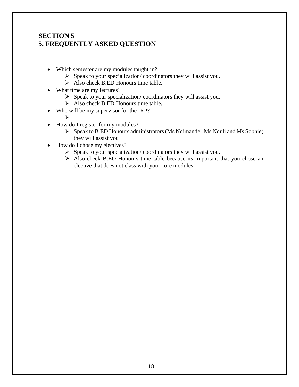# **SECTION 5 5. FREQUENTLY ASKED QUESTION**

- Which semester are my modules taught in?
	- ➢ Speak to your specialization/ coordinators they will assist you.
	- $\triangleright$  Also check B.ED Honours time table.
- What time are my lectures?
	- $\triangleright$  Speak to your specialization/ coordinators they will assist you.
	- $\triangleright$  Also check B.ED Honours time table.
- Who will be my supervisor for the IRP?
	- ➢
- How do I register for my modules?
	- ➢ Speak to B.ED Honours administrators (Ms Ndimande , Ms Nduli and Ms Sophie) they will assist you
- How do I chose my electives?
	- ➢ Speak to your specialization/ coordinators they will assist you.
	- ➢ Also check B.ED Honours time table because its important that you chose an elective that does not class with your core modules.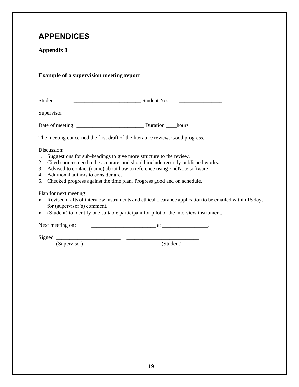# <span id="page-18-0"></span>**APPENDICES**

# <span id="page-18-1"></span>**Appendix 1**

# <span id="page-18-2"></span>**Example of a supervision meeting report**

Student \_\_\_\_\_\_\_\_\_\_\_\_\_\_\_\_\_\_\_\_\_\_\_\_\_ Student No. \_\_\_\_\_\_\_\_\_\_\_\_\_\_\_\_

Supervisor \_\_\_\_\_\_\_\_\_\_\_\_\_\_\_\_\_\_\_\_\_\_\_\_\_

Date of meeting \_\_\_\_\_\_\_\_\_\_\_\_\_\_\_\_\_\_\_\_\_\_\_\_\_ Duration \_\_\_\_hours

The meeting concerned the first draft of the literature review. Good progress.

Discussion:

- 1. Suggestions for sub-headings to give more structure to the review.
- 2. Cited sources need to be accurate, and should include recently published works.
- 3. Advised to contact (name) about how to reference using EndNote software.
- 4. Additional authors to consider are…
- 5. Checked progress against the time plan. Progress good and on schedule.

Plan for next meeting:

- Revised drafts of interview instruments and ethical clearance application to be emailed within 15 days for (supervisor's) comment.
- (Student) to identify one suitable participant for pilot of the interview instrument.

Next meeting on: \_\_\_\_\_\_\_\_\_\_\_\_\_\_\_\_\_\_\_\_\_\_\_\_ at \_\_\_\_\_\_\_\_\_\_\_\_\_\_\_\_\_.

Signed \_\_\_\_\_\_\_\_\_\_\_\_\_\_\_\_\_\_\_\_\_\_\_\_ \_\_\_\_\_\_\_\_\_\_\_\_\_\_\_\_\_\_\_\_\_\_\_\_\_\_\_ (Supervisor)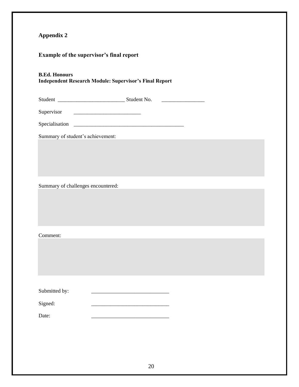# <span id="page-19-1"></span><span id="page-19-0"></span>**Example of the supervisor's final report**

## **B.Ed. Honours Independent Research Module: Supervisor's Final Report**

Student \_\_\_\_\_\_\_\_\_\_\_\_\_\_\_\_\_\_\_\_\_\_\_\_\_ Student No. \_\_\_\_\_\_\_\_\_\_\_\_\_\_\_\_

| Supervisor |  |
|------------|--|
|------------|--|

| Specialisation |  |
|----------------|--|
|                |  |

Summary of student's achievement:

Summary of challenges encountered:

Comment:

| Submitted by: |  |
|---------------|--|
|               |  |

Signed:

Date: \_\_\_\_\_\_\_\_\_\_\_\_\_\_\_\_\_\_\_\_\_\_\_\_\_\_\_\_\_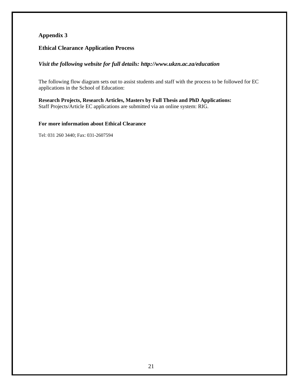### <span id="page-20-1"></span><span id="page-20-0"></span>**Ethical Clearance Application Process**

### *Visit the following website for full details: http://www.ukzn.ac.za/education*

The following flow diagram sets out to assist students and staff with the process to be followed for EC applications in the School of Education:

**Research Projects, Research Articles, Masters by Full Thesis and PhD Applications:** Staff Projects/Article EC applications are submitted via an online system: RIG.

#### **For more information about Ethical Clearance**

Tel: 031 260 3440; Fax: 031-2607594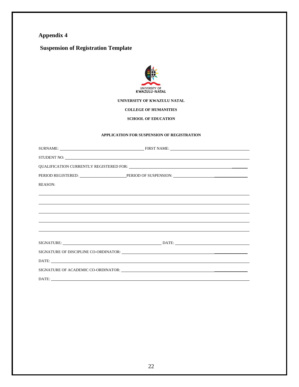# <span id="page-21-1"></span><span id="page-21-0"></span>**Suspension of Registration Template**



#### **UNIVERSITY OF KWAZULU NATAL**

**COLLEGE OF HUMANITIES**

**SCHOOL OF EDUCATION** 

#### **APPLICATION FOR SUSPENSION OF REGISTRATION**

| <b>REASON:</b> |  |  |  |
|----------------|--|--|--|
|                |  |  |  |
|                |  |  |  |
|                |  |  |  |
|                |  |  |  |
|                |  |  |  |
|                |  |  |  |
|                |  |  |  |
|                |  |  |  |
|                |  |  |  |
|                |  |  |  |
| DATE:          |  |  |  |